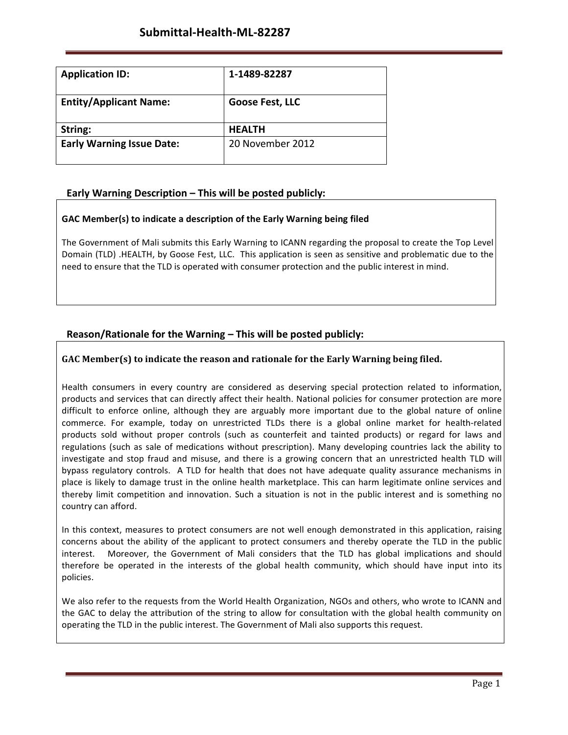| <b>Application ID:</b>           | 1-1489-82287     |
|----------------------------------|------------------|
| <b>Entity/Applicant Name:</b>    | Goose Fest, LLC  |
| String:                          | <b>HEALTH</b>    |
| <b>Early Warning Issue Date:</b> | 20 November 2012 |

# **Early Warning Description – This will be posted publicly:**

## **GAC Member(s) to indicate a description of the Early Warning being filed**

The Government of Mali submits this Early Warning to ICANN regarding the proposal to create the Top Level Domain (TLD) .HEALTH, by Goose Fest, LLC. This application is seen as sensitive and problematic due to the need to ensure that the TLD is operated with consumer protection and the public interest in mind.

# **Reason/Rationale for the Warning – This will be posted publicly:**

## **GAC** Member(s) to indicate the reason and rationale for the Early Warning being filed.

Health consumers in every country are considered as deserving special protection related to information, products and services that can directly affect their health. National policies for consumer protection are more difficult to enforce online, although they are arguably more important due to the global nature of online commerce. For example, today on unrestricted TLDs there is a global online market for health-related products sold without proper controls (such as counterfeit and tainted products) or regard for laws and regulations (such as sale of medications without prescription). Many developing countries lack the ability to investigate and stop fraud and misuse, and there is a growing concern that an unrestricted health TLD will bypass regulatory controls. A TLD for health that does not have adequate quality assurance mechanisms in place is likely to damage trust in the online health marketplace. This can harm legitimate online services and thereby limit competition and innovation. Such a situation is not in the public interest and is something no country can afford.

In this context, measures to protect consumers are not well enough demonstrated in this application, raising concerns about the ability of the applicant to protect consumers and thereby operate the TLD in the public interest. Moreover, the Government of Mali considers that the TLD has global implications and should therefore be operated in the interests of the global health community, which should have input into its policies.

We also refer to the requests from the World Health Organization, NGOs and others, who wrote to ICANN and the GAC to delay the attribution of the string to allow for consultation with the global health community on operating the TLD in the public interest. The Government of Mali also supports this request.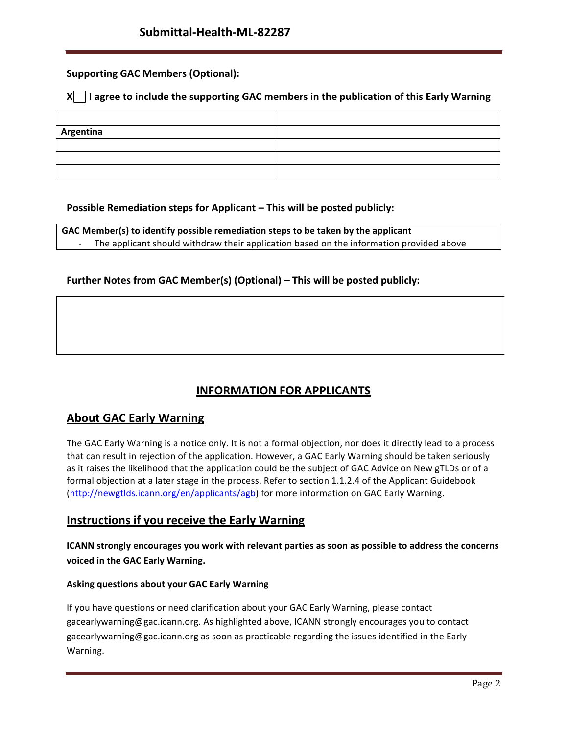# **Supporting GAC Members (Optional):**

## **X** | I agree to include the supporting GAC members in the publication of this Early Warning

| Argentina |  |
|-----------|--|
|           |  |
|           |  |
|           |  |

## **Possible Remediation steps for Applicant – This will be posted publicly:**

**GAC Member(s) to identify possible remediation steps to be taken by the applicant** The applicant should withdraw their application based on the information provided above

## **Further Notes from GAC Member(s) (Optional) – This will be posted publicly:**

# **INFORMATION FOR APPLICANTS**

# **About GAC Early Warning**

The GAC Early Warning is a notice only. It is not a formal objection, nor does it directly lead to a process that can result in rejection of the application. However, a GAC Early Warning should be taken seriously as it raises the likelihood that the application could be the subject of GAC Advice on New gTLDs or of a formal objection at a later stage in the process. Refer to section 1.1.2.4 of the Applicant Guidebook (http://newgtlds.icann.org/en/applicants/agb) for more information on GAC Early Warning.

## **Instructions if you receive the Early Warning**

**ICANN strongly encourages you work with relevant parties as soon as possible to address the concerns voiced in the GAC Early Warning.**

### **Asking questions about your GAC Early Warning**

If you have questions or need clarification about your GAC Early Warning, please contact gacearlywarning@gac.icann.org. As highlighted above, ICANN strongly encourages you to contact gacearlywarning@gac.icann.org as soon as practicable regarding the issues identified in the Early Warning.